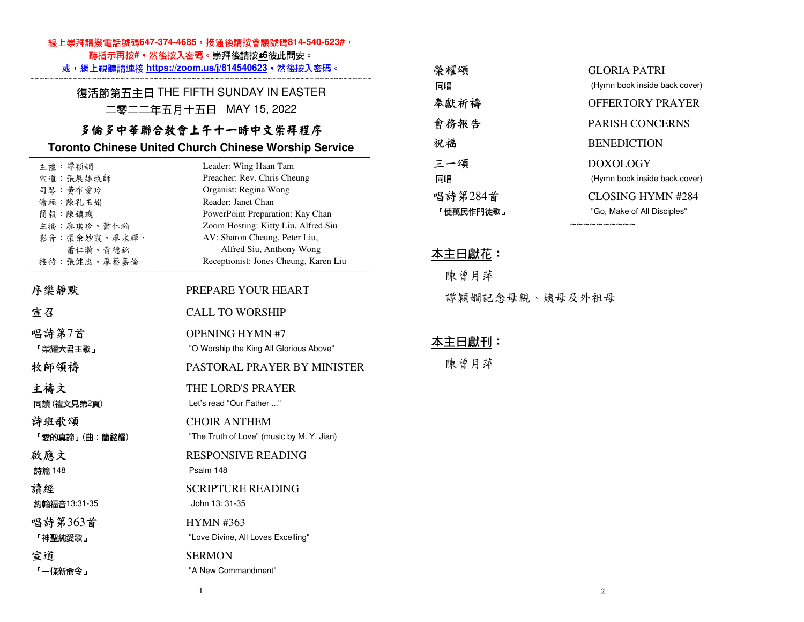### 線上崇拜請撥電話號碼647-374-4685,接通後請按會議號碼814-540-623#,

聽指示再按**#**,然後按入密碼。崇拜後請按\***6**彼此問安。

#### 或,網上視聽請連接 **https://zoom.us/j/814540623**,然後按入密碼。 ~~~~~~~~~~~~~~~~~~~~~~~~~~~~~~~~~~~~~~~~~~~~~~~~~~~~~~~~~~~~~~~~~~~~~~~~

復活節第五主日 THE FIFTH SUNDAY IN EASTER 二零二二年五月十五日 MAY 15, 2022

### 多倫多中華聯合教會上午十一時中文崇拜程序

#### **Toronto Chinese United Church Chinese Worship Service**

| 主禮 譚穎嫺        | Leader: Wing Haan Tam                     |
|---------------|-------------------------------------------|
| 宣道:張展雄牧師      | Preacher: Rev. Chris Cheung               |
| 司琴 黃布愛玲       | Organist: Regina Wong                     |
| 讀經:陳孔玉娟       | Reader: Janet Chan                        |
| 簡報 陳鎮璣        | PowerPoint Preparation: Kay Chan          |
| 主播:廖琪珍,蕭仁瀚    | Zoom Hosting: Kitty Liu, Alfred Siu       |
| 影音:張余妙霞,廖永輝,  | AV: Sharon Cheung, Peter Liu,             |
| 蕭仁瀚,黃德銘       | Alfred Siu, Anthony Wong                  |
| 接待:張健忠,廖蔡嘉倫   | Receptionist: Jones Cheung, Karen Liu     |
| 序樂靜默          | PREPARE YOUR HEART                        |
| 宣召            | <b>CALL TO WORSHIP</b>                    |
| 唱詩第7首         | <b>OPENING HYMN#7</b>                     |
| 「榮耀大君王歌」      | "O Worship the King All Glorious Above"   |
| 牧師領禱          | PASTORAL PRAYER BY MINISTER               |
| 主禱文           | THE LORD'S PRAYER                         |
| 同讀 (禮文見第2頁)   | Let's read "Our Father "                  |
| 詩班歌頌          | <b>CHOIR ANTHEM</b>                       |
| 「愛的真諦」(曲・簡銘耀) | "The Truth of Love" (music by M. Y. Jian) |
| 啟應文           | <b>RESPONSIVE READING</b>                 |
| 詩篇 148        | Psalm 148                                 |
| 請經            | <b>SCRIPTURE READING</b>                  |
| 約翰福音13:31-35  | John 13: 31-35                            |
| 唱詩第363首       | <b>HYMN #363</b>                          |
| 「神聖純愛歌」       | "Love Divine, All Loves Excelling"        |
| 宣道            | <b>SERMON</b>                             |
| 「一條新命令」       | "A New Commandment"                       |

| 榮耀頌       | GLORIA PATRI                  |
|-----------|-------------------------------|
| 同唱        | (Hymn book inside back cover) |
| 奉獻祈禱      | OFFERTORY PRAYER              |
| 會務報告      | <b>PARISH CONCERNS</b>        |
| 祝福        | <b>BENEDICTION</b>            |
| 三一頌       | DOXOLOGY                      |
| 同唱        | (Hymn book inside back cover) |
| 唱詩第284首   | CLOSING HYMN #284             |
| 「使萬民作門徒歌」 | "Go, Make of All Disciples"   |
|           | ~~~~~~~~~                     |

## 本主日獻花:

 陳曾月萍譚穎嫺記念母親、姨母及外祖母

#### 本主日獻刊:

陳曾月萍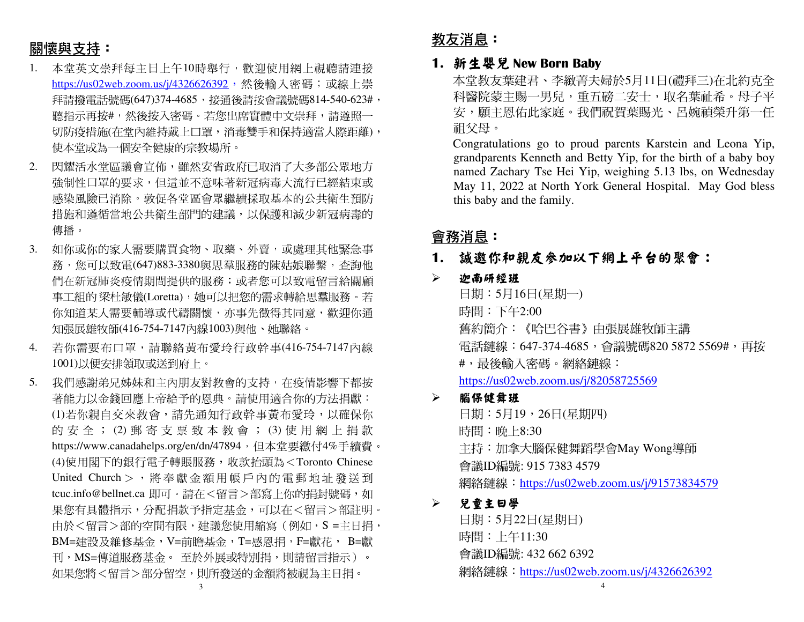# 關懷與支持:

- 1. 本堂英文崇拜每主日上午10時舉行,歡迎使用網上視聽請連接<u>https://us02web.zoom.us/j/4326626392</u>,然後輸入密碼;或線上崇 拜請撥電話號碼(647)374-4685,接通後請按會議號碼814-540-623#, 聽指示再按#,然後按入密碼。若您出席實體中文崇拜,請遵照一 切防疫措施(在堂內維持戴上口罩,消毒雙手和保持適當人際距離), 使本堂成為一個安全健康的宗教場所。
- 2. 閃耀活水堂區議會宣佈,雖然安省政府已取消了大多部公眾地方強制性口罩的要求,但這並不意味著新冠病毒大流行已經結束或 感染風險已消除。敦促各堂區會眾繼續採取基本的公共衛生預防措施和遵循當地公共衛生部門的建議,以保護和減少新冠病毒的 傳播。
- 3. 如你或你的家人需要購買食物、取藥、外賣,或處理其他緊急事 務,您可以致電(647)883-3380與思羣服務的陳姑娘聯繫,查詢他 們在新冠肺炎疫情期間提供的服務;或者您可以致電留言給關顧 事工組的 梁杜敏儀(Loretta),她可以把您的需求轉給思羣服務。若<br>你知道节!震西越道式伐清盟魔,太再先帶得共同亲,警迎始泽 你知道某人需要輔導或代禱關懷,亦事先徵得其同意,歡迎你通 知張展雄牧師(416-754-7147內線1003)與他、她聯絡。
- 4. 若你需要布口罩,請聯絡黃布愛玲行政幹事(416-754-7147內線1001)以便安排領取或送到府上。
- 5. 我們感謝弟兄姊妹和主內朋友對教會的支持,在疫情影響下都按 著能力以金錢回應上帝給予的恩典。請使用適合你的方法捐獻: (1)若你親自交來教會,請先通知行政幹事黃布愛玲,以確保你 的 安 全 ; (2) 郵 寄 支 票 致 本 教 會 ; (3) 使 用 網 上 捐 款<br>http://www.co.edu.dec.co/co/co/d=47904,但大学要继与4%丢绩费 https://www.canadahelps.org/en/dn/47894,但本堂要繳付4%手續費。 (4)使用閣下的銀行電子轉賬服務,收款抬頭為<Toronto Chinese United Church> , <sup>將</sup> <sup>奉</sup> <sup>獻</sup> <sup>金</sup> <sup>額</sup> 用 <sup>帳</sup> <sup>戶</sup> <sup>內</sup> <sup>的</sup> <sup>電</sup> 郵地 <sup>址</sup> <sup>發</sup> <sup>送</sup> <sup>到</sup> tcuc.info@bellnet.ca 即可。請在<留言>部寫上你的捐封號碼,如 果您有具體指示,分配捐款予指定基金,可以在<留言>部註明。由於<留言>部的空間有限,建議您使用縮寫(例如,S =主日捐, BM=建設及維修基金,V=前瞻基金,T=感恩捐,F=獻花, B=獻刊,MS=傳道服務基金。 至於外展或特別捐,則請留言指示)。<br>加思你喀ィ留言、翌八兒空。則至登治公察喀無泪为之只坦。 如果您將<留言>部分留空,則所發送的金額將被視為主日捐。

教友消息:

#### **1.** 新生嬰兒 **New Born Baby**

本堂教友葉建君、李緻菁夫婦於5月11日(禮拜三)在北約克全 科醫院蒙主賜一男兒,重五磅二安士,取名葉祉希。母子平 安,願主恩佑此家庭。我們祝賀葉賜光、呂婉禎榮升第一任祖父母。

 Congratulations go to proud parents Karstein and Leona Yip, grandparents Kenneth and Betty Yip, for the birth of a baby boy named Zachary Tse Hei Yip, weighing 5.13 lbs, on Wednesday May 11, 2022 at North York General Hospital. May God bless this baby and the family.

## 會務消息:

### **1.** 誠邀你和親友參加以下網上平台的聚會:

#### $\blacktriangleright$ 迦南研經班

日期:5月16日(星期一) 時間:下午2:00 舊約簡介:《哈巴谷書》由張展雄牧師主講電話鏈線:647-374-4685,會議號碼820 5872 5569#,再按 #,最後輸入密碼。網絡鏈線:https://us02web.zoom.us/j/82058725569

#### $\blacktriangleright$ 腦保健舞班

日期:5月19,26日(星期四) 時間:晚上8:30 主持:加拿大腦保健舞蹈學會May Wong導師會議ID編號: 915 7383 4579 網絡鏈線:https://us02web.zoom.us/j/91573834579

#### $\blacktriangleright$ 兒童主日學

日期:5月22日(星期日) 時間:上午11:30 會議ID編號: 432 662 6392 網絡鏈線: https://us02web.zoom.us/j/4326626392